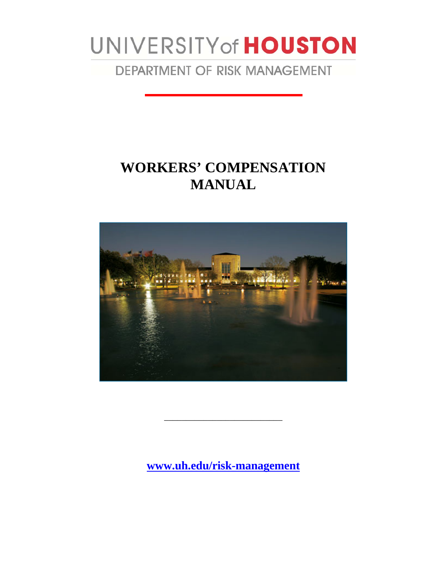# UNIVERSITY of **HOUSTON**

DEPARTMENT OF RISK MANAGEMENT

## **WORKERS' COMPENSATION MANUAL**



**www.uh.edu/risk-management**

\_\_\_\_\_\_\_\_\_\_\_\_\_\_\_\_\_\_\_\_\_\_\_\_\_\_\_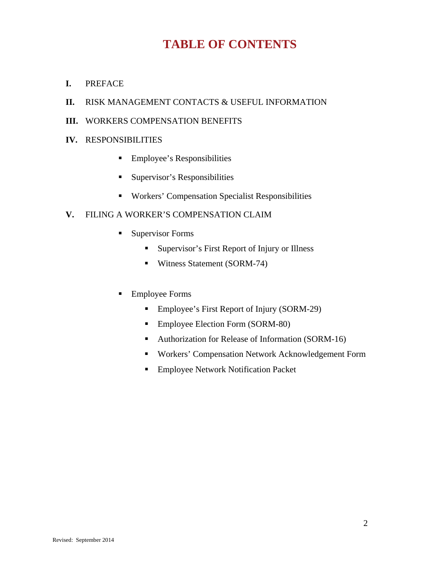## **TABLE OF CONTENTS**

- **I.** PREFACE
- **II.** RISK MANAGEMENT CONTACTS & USEFUL INFORMATION
- **III.** WORKERS COMPENSATION BENEFITS
- **IV.** RESPONSIBILITIES
	- **Employee's Responsibilities**
	- **Supervisor's Responsibilities**
	- Workers' Compensation Specialist Responsibilities

#### **V.** FILING A WORKER'S COMPENSATION CLAIM

- **Supervisor Forms** 
	- **Supervisor's First Report of Injury or Illness**
	- Witness Statement (SORM-74)
- Employee Forms
	- **Employee's First Report of Injury (SORM-29)**
	- **Employee Election Form (SORM-80)**
	- Authorization for Release of Information (SORM-16)
	- Workers' Compensation Network Acknowledgement Form
	- **Employee Network Notification Packet**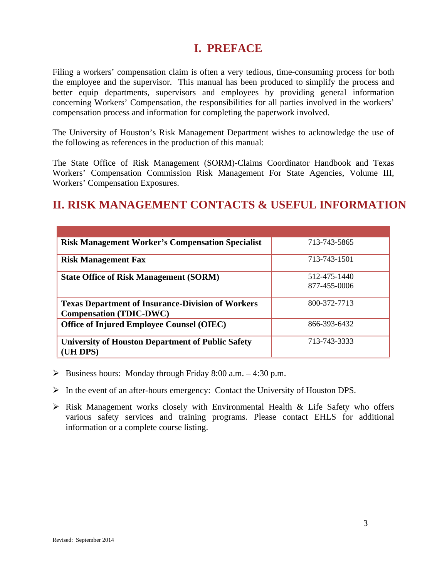## **I. PREFACE**

Filing a workers' compensation claim is often a very tedious, time-consuming process for both the employee and the supervisor. This manual has been produced to simplify the process and better equip departments, supervisors and employees by providing general information concerning Workers' Compensation, the responsibilities for all parties involved in the workers' compensation process and information for completing the paperwork involved.

The University of Houston's Risk Management Department wishes to acknowledge the use of the following as references in the production of this manual:

The State Office of Risk Management (SORM)-Claims Coordinator Handbook and Texas Workers' Compensation Commission Risk Management For State Agencies, Volume III, Workers' Compensation Exposures.

## **II. RISK MANAGEMENT CONTACTS & USEFUL INFORMATION**

| <b>Risk Management Worker's Compensation Specialist</b>                                    | 713-743-5865 |
|--------------------------------------------------------------------------------------------|--------------|
| <b>Risk Management Fax</b>                                                                 | 713-743-1501 |
| <b>State Office of Risk Management (SORM)</b>                                              | 512-475-1440 |
|                                                                                            | 877-455-0006 |
| <b>Texas Department of Insurance-Division of Workers</b><br><b>Compensation (TDIC-DWC)</b> | 800-372-7713 |
| <b>Office of Injured Employee Counsel (OIEC)</b>                                           | 866-393-6432 |
| <b>University of Houston Department of Public Safety</b><br>(UH DPS)                       | 713-743-3333 |

- $\triangleright$  Business hours: Monday through Friday 8:00 a.m. 4:30 p.m.
- $\triangleright$  In the event of an after-hours emergency: Contact the University of Houston DPS.
- $\triangleright$  Risk Management works closely with Environmental Health & Life Safety who offers various safety services and training programs. Please contact EHLS for additional information or a complete course listing.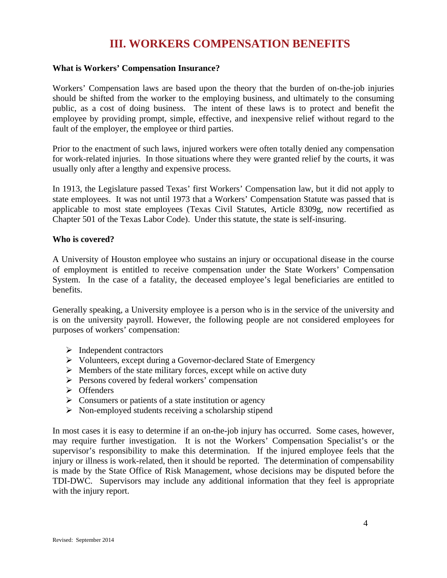### **III. WORKERS COMPENSATION BENEFITS**

#### **What is Workers' Compensation Insurance?**

Workers' Compensation laws are based upon the theory that the burden of on-the-job injuries should be shifted from the worker to the employing business, and ultimately to the consuming public, as a cost of doing business. The intent of these laws is to protect and benefit the employee by providing prompt, simple, effective, and inexpensive relief without regard to the fault of the employer, the employee or third parties.

Prior to the enactment of such laws, injured workers were often totally denied any compensation for work-related injuries. In those situations where they were granted relief by the courts, it was usually only after a lengthy and expensive process.

In 1913, the Legislature passed Texas' first Workers' Compensation law, but it did not apply to state employees. It was not until 1973 that a Workers' Compensation Statute was passed that is applicable to most state employees (Texas Civil Statutes, Article 8309g, now recertified as Chapter 501 of the Texas Labor Code). Under this statute, the state is self-insuring.

#### **Who is covered?**

A University of Houston employee who sustains an injury or occupational disease in the course of employment is entitled to receive compensation under the State Workers' Compensation System. In the case of a fatality, the deceased employee's legal beneficiaries are entitled to benefits.

Generally speaking, a University employee is a person who is in the service of the university and is on the university payroll. However, the following people are not considered employees for purposes of workers' compensation:

- $\triangleright$  Independent contractors
- Volunteers, except during a Governor-declared State of Emergency
- $\triangleright$  Members of the state military forces, except while on active duty
- $\triangleright$  Persons covered by federal workers' compensation
- $\triangleright$  Offenders
- $\triangleright$  Consumers or patients of a state institution or agency
- $\triangleright$  Non-employed students receiving a scholarship stipend

In most cases it is easy to determine if an on-the-job injury has occurred. Some cases, however, may require further investigation. It is not the Workers' Compensation Specialist's or the supervisor's responsibility to make this determination. If the injured employee feels that the injury or illness is work-related, then it should be reported. The determination of compensability is made by the State Office of Risk Management, whose decisions may be disputed before the TDI-DWC. Supervisors may include any additional information that they feel is appropriate with the injury report.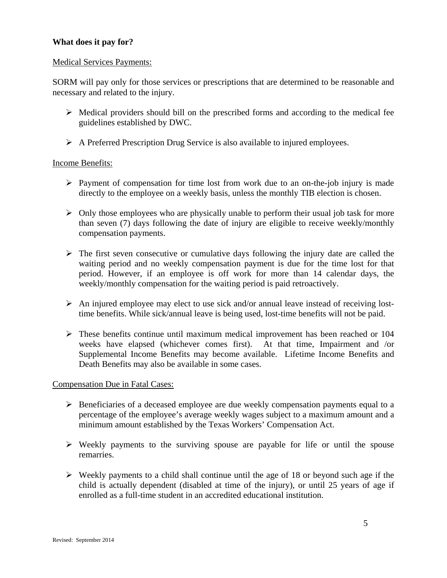#### **What does it pay for?**

#### Medical Services Payments:

SORM will pay only for those services or prescriptions that are determined to be reasonable and necessary and related to the injury.

- $\triangleright$  Medical providers should bill on the prescribed forms and according to the medical fee guidelines established by DWC.
- $\triangleright$  A Preferred Prescription Drug Service is also available to injured employees.

#### Income Benefits:

- $\triangleright$  Payment of compensation for time lost from work due to an on-the-job injury is made directly to the employee on a weekly basis, unless the monthly TIB election is chosen.
- $\triangleright$  Only those employees who are physically unable to perform their usual job task for more than seven (7) days following the date of injury are eligible to receive weekly/monthly compensation payments.
- $\triangleright$  The first seven consecutive or cumulative days following the injury date are called the waiting period and no weekly compensation payment is due for the time lost for that period. However, if an employee is off work for more than 14 calendar days, the weekly/monthly compensation for the waiting period is paid retroactively.
- $\triangleright$  An injured employee may elect to use sick and/or annual leave instead of receiving losttime benefits. While sick/annual leave is being used, lost-time benefits will not be paid.
- $\triangleright$  These benefits continue until maximum medical improvement has been reached or 104 weeks have elapsed (whichever comes first). At that time, Impairment and /or Supplemental Income Benefits may become available. Lifetime Income Benefits and Death Benefits may also be available in some cases.

#### Compensation Due in Fatal Cases:

- $\triangleright$  Beneficiaries of a deceased employee are due weekly compensation payments equal to a percentage of the employee's average weekly wages subject to a maximum amount and a minimum amount established by the Texas Workers' Compensation Act.
- $\triangleright$  Weekly payments to the surviving spouse are payable for life or until the spouse remarries.
- $\triangleright$  Weekly payments to a child shall continue until the age of 18 or beyond such age if the child is actually dependent (disabled at time of the injury), or until 25 years of age if enrolled as a full-time student in an accredited educational institution.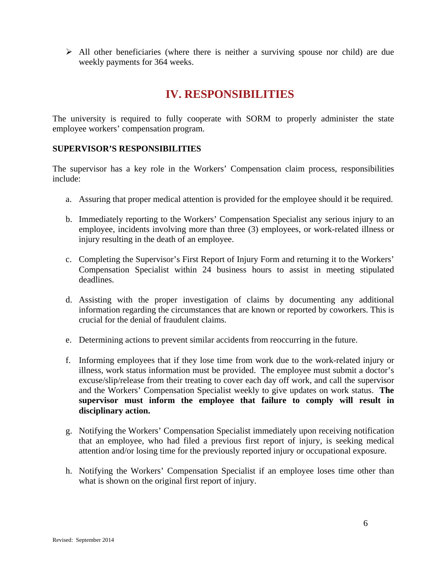$\triangleright$  All other beneficiaries (where there is neither a surviving spouse nor child) are due weekly payments for 364 weeks.

## **IV. RESPONSIBILITIES**

The university is required to fully cooperate with SORM to properly administer the state employee workers' compensation program.

#### **SUPERVISOR'S RESPONSIBILITIES**

The supervisor has a key role in the Workers' Compensation claim process, responsibilities include:

- a. Assuring that proper medical attention is provided for the employee should it be required.
- b. Immediately reporting to the Workers' Compensation Specialist any serious injury to an employee, incidents involving more than three (3) employees, or work-related illness or injury resulting in the death of an employee.
- c. Completing the Supervisor's First Report of Injury Form and returning it to the Workers' Compensation Specialist within 24 business hours to assist in meeting stipulated deadlines.
- d. Assisting with the proper investigation of claims by documenting any additional information regarding the circumstances that are known or reported by coworkers. This is crucial for the denial of fraudulent claims.
- e. Determining actions to prevent similar accidents from reoccurring in the future.
- f. Informing employees that if they lose time from work due to the work-related injury or illness, work status information must be provided. The employee must submit a doctor's excuse/slip/release from their treating to cover each day off work, and call the supervisor and the Workers' Compensation Specialist weekly to give updates on work status. **The supervisor must inform the employee that failure to comply will result in disciplinary action.**
- g. Notifying the Workers' Compensation Specialist immediately upon receiving notification that an employee, who had filed a previous first report of injury, is seeking medical attention and/or losing time for the previously reported injury or occupational exposure.
- h. Notifying the Workers' Compensation Specialist if an employee loses time other than what is shown on the original first report of injury.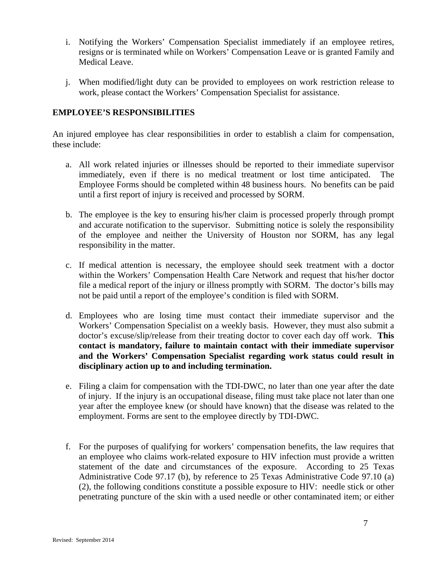- i. Notifying the Workers' Compensation Specialist immediately if an employee retires, resigns or is terminated while on Workers' Compensation Leave or is granted Family and Medical Leave.
- j. When modified/light duty can be provided to employees on work restriction release to work, please contact the Workers' Compensation Specialist for assistance.

#### **EMPLOYEE'S RESPONSIBILITIES**

An injured employee has clear responsibilities in order to establish a claim for compensation, these include:

- a. All work related injuries or illnesses should be reported to their immediate supervisor immediately, even if there is no medical treatment or lost time anticipated. The Employee Forms should be completed within 48 business hours. No benefits can be paid until a first report of injury is received and processed by SORM.
- b. The employee is the key to ensuring his/her claim is processed properly through prompt and accurate notification to the supervisor. Submitting notice is solely the responsibility of the employee and neither the University of Houston nor SORM, has any legal responsibility in the matter.
- c. If medical attention is necessary, the employee should seek treatment with a doctor within the Workers' Compensation Health Care Network and request that his/her doctor file a medical report of the injury or illness promptly with SORM. The doctor's bills may not be paid until a report of the employee's condition is filed with SORM.
- d. Employees who are losing time must contact their immediate supervisor and the Workers' Compensation Specialist on a weekly basis. However, they must also submit a doctor's excuse/slip/release from their treating doctor to cover each day off work. **This contact is mandatory, failure to maintain contact with their immediate supervisor and the Workers' Compensation Specialist regarding work status could result in disciplinary action up to and including termination.**
- e. Filing a claim for compensation with the TDI-DWC, no later than one year after the date of injury. If the injury is an occupational disease, filing must take place not later than one year after the employee knew (or should have known) that the disease was related to the employment. Forms are sent to the employee directly by TDI-DWC.
- f. For the purposes of qualifying for workers' compensation benefits, the law requires that an employee who claims work-related exposure to HIV infection must provide a written statement of the date and circumstances of the exposure. According to 25 Texas Administrative Code 97.17 (b), by reference to 25 Texas Administrative Code 97.10 (a) (2), the following conditions constitute a possible exposure to HIV: needle stick or other penetrating puncture of the skin with a used needle or other contaminated item; or either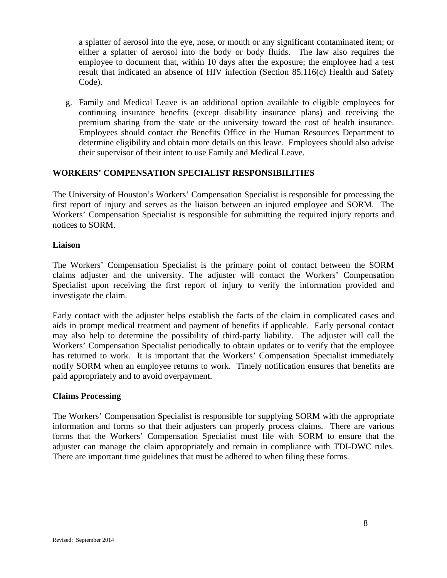a splatter of aerosol into the eye, nose, or mouth or any significant contaminated item; or either a splatter of aerosol into the body or body fluids. The law also requires the employee to document that, within 10 days after the exposure; the employee had a test result that indicated an absence of HIV infection (Section 85.116(c) Health and Safety Code).

g. Family and Medical Leave is an additional option available to eligible employees for continuing insurance benefits (except disability insurance plans) and receiving the premium sharing from the state or the university toward the cost of health insurance. Employees should contact the Benefits Office in the Human Resources Department to determine eligibility and obtain more details on this leave. Employees should also advise their supervisor of their intent to use Family and Medical Leave.

#### **WORKERS' COMPENSATION SPECIALIST RESPONSIBILITIES**

The University of Houston's Workers' Compensation Specialist is responsible for processing the first report of injury and serves as the liaison between an injured employee and SORM. The Workers' Compensation Specialist is responsible for submitting the required injury reports and notices to SORM.

#### **Liaison**

The Workers' Compensation Specialist is the primary point of contact between the SORM claims adjuster and the university. The adjuster will contact the Workers' Compensation Specialist upon receiving the first report of injury to verify the information provided and investigate the claim.

Early contact with the adjuster helps establish the facts of the claim in complicated cases and aids in prompt medical treatment and payment of benefits if applicable. Early personal contact may also help to determine the possibility of third-party liability. The adjuster will call the Workers' Compensation Specialist periodically to obtain updates or to verify that the employee has returned to work. It is important that the Workers' Compensation Specialist immediately notify SORM when an employee returns to work. Timely notification ensures that benefits are paid appropriately and to avoid overpayment.

#### **Claims Processing**

The Workers' Compensation Specialist is responsible for supplying SORM with the appropriate information and forms so that their adjusters can properly process claims. There are various forms that the Workers' Compensation Specialist must file with SORM to ensure that the adjuster can manage the claim appropriately and remain in compliance with TDI-DWC rules. There are important time guidelines that must be adhered to when filing these forms.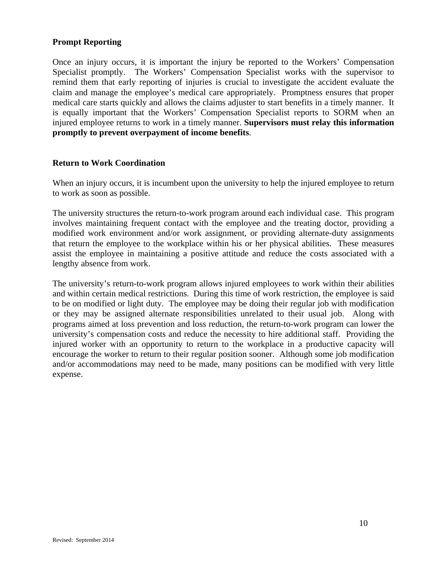#### **Prompt Reporting**

Once an injury occurs, it is important the injury be reported to the Workers' Compensation Specialist promptly. The Workers' Compensation Specialist works with the supervisor to remind them that early reporting of injuries is crucial to investigate the accident evaluate the claim and manage the employee's medical care appropriately. Promptness ensures that proper medical care starts quickly and allows the claims adjuster to start benefits in a timely manner. It is equally important that the Workers' Compensation Specialist reports to SORM when an injured employee returns to work in a timely manner. **Supervisors must relay this information promptly to prevent overpayment of income benefits**.

#### **Return to Work Coordination**

When an injury occurs, it is incumbent upon the university to help the injured employee to return to work as soon as possible.

The university structures the return-to-work program around each individual case. This program involves maintaining frequent contact with the employee and the treating doctor, providing a modified work environment and/or work assignment, or providing alternate-duty assignments that return the employee to the workplace within his or her physical abilities. These measures assist the employee in maintaining a positive attitude and reduce the costs associated with a lengthy absence from work.

The university's return-to-work program allows injured employees to work within their abilities and within certain medical restrictions. During this time of work restriction, the employee is said to be on modified or light duty. The employee may be doing their regular job with modification or they may be assigned alternate responsibilities unrelated to their usual job. Along with programs aimed at loss prevention and loss reduction, the return-to-work program can lower the university's compensation costs and reduce the necessity to hire additional staff. Providing the injured worker with an opportunity to return to the workplace in a productive capacity will encourage the worker to return to their regular position sooner. Although some job modification and/or accommodations may need to be made, many positions can be modified with very little expense.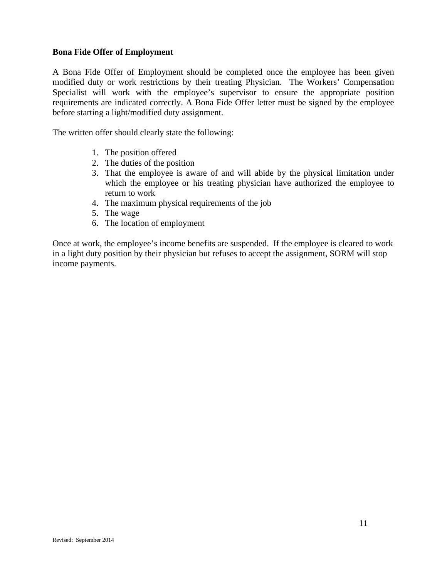#### **Bona Fide Offer of Employment**

A Bona Fide Offer of Employment should be completed once the employee has been given modified duty or work restrictions by their treating Physician. The Workers' Compensation Specialist will work with the employee's supervisor to ensure the appropriate position requirements are indicated correctly. A Bona Fide Offer letter must be signed by the employee before starting a light/modified duty assignment.

The written offer should clearly state the following:

- 1. The position offered
- 2. The duties of the position
- 3. That the employee is aware of and will abide by the physical limitation under which the employee or his treating physician have authorized the employee to return to work
- 4. The maximum physical requirements of the job
- 5. The wage
- 6. The location of employment

Once at work, the employee's income benefits are suspended. If the employee is cleared to work in a light duty position by their physician but refuses to accept the assignment, SORM will stop income payments.